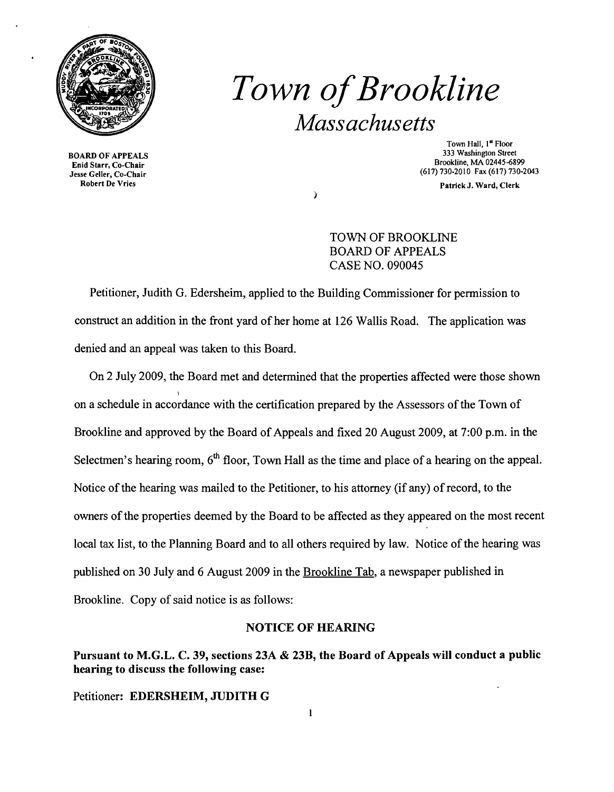

**Town of Brookline** *Massachusetts* 

Enid Starr, Co-Chair Exam Survey Co-Chair (617) 730-2010 Fax (617) 730-2010 Fax (617) 730-2010 Fax (617) 730-2013<br>
Hesse Geller, Co-Chair (60)<br>
Robert De Vries (60)

Town Hall, 1<sup>st</sup> Floor<br>333 Washington Street 333 Washington Street 333 Washington Street<br>Bookline, MA 02445-6899<br>Brookline, MA 02445-6899

Patrick J. Ward, Clerk

TOWN OF BROOKLINE BOARD OF APPEALS CASE NO. 090045

Petitioner, Judith G. Edersheim, applied to the Building Commissioner for permission to construct an addition in the front yard of her home at 126 Wallis Road. The application was denied and an appeal was taken to this Board.

On 2 July 2009, the Board met and determined that the properties affected were those shown on a schedule in accordance with the certification prepared by the Assessors ofthe Town of Brookline and approved by the Board of Appeals and fixed 20 August 2009, at 7:00 p.m. in the Selectmen's hearing room,  $6<sup>th</sup>$  floor, Town Hall as the time and place of a hearing on the appeal. Notice of the hearing was mailed to the Petitioner, to his attorney (if any) of record, to the owners of the properties deemed by the Board to be affected as they appeared on the most recent local tax list, to the Planning Board and to all others required by law. Notice of the hearing was published on 30 July and 6 August 2009 in the Brookline Tab, a newspaper published in Brookline. Copy of said notice is as follows:

## NOTICE OF HEARING

## Pursuant to M.G.L. C. 39, sections 23A & 23B, the Board of Appeals will conduct a public hearing to discuss the following case:

Petitioner: EDERSHEIM, JUDITH G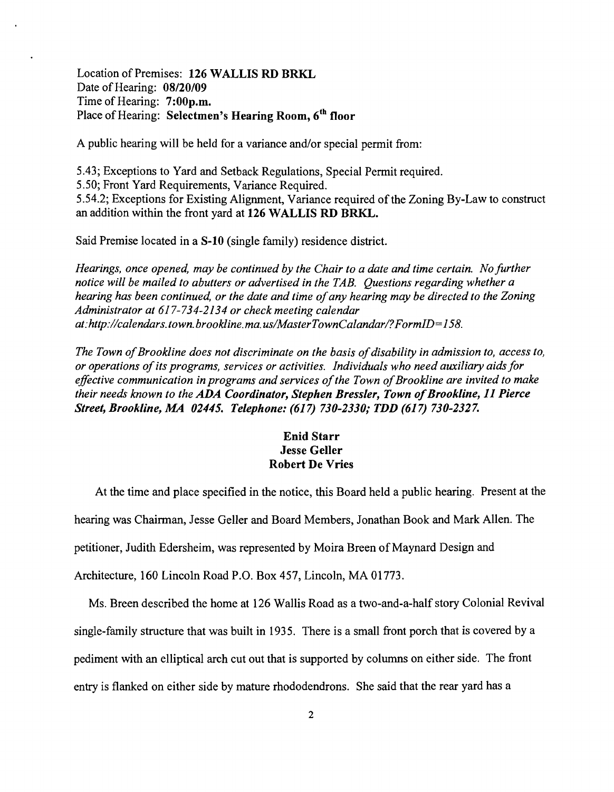Location of Premises: 126 WALLIS RD BRKL Date of Hearing: 08/20/09 Time of Hearing: 7:00p.m. Place of Hearing: Selectmen's Hearing Room, 6<sup>th</sup> floor

A public hearing will be held for a variance and/or special permit from:

5.43; Exceptions to Yard and Setback Regulations, Special Permit required.

5.50; Front Yard Requirements, Variance Required.

5.54.2; Exceptions for Existing Alignment, Variance required of the Zoning By-Law to construct an addition within the front yard at 126 WALLIS RD BRKL.

Said Premise located in a S-10 (single family) residence district.

*Hearings, once opened, may be continued by the Chair to a date and time certain. No further notice will be mailed to abutters or advertised in the TAB. Questions regarding whether a hearing has been continued, or the date and time ofany hearing may be directed to the Zoning Administrator at* 617-734-2134 *or check meeting calendar at:http://calendars.town.brookline.ma.usIMasterTownCalandarl?FormID=158.* 

The Town of Brookline does not discriminate on the basis of disability in admission to, access to, *or operations ofits programs, services or activities. Individuals who need auxiliary aidsfor*  effective communication in programs and services of the Town of Brookline are invited to make *their needs known to the ADA Coordinator, Stephen Bressler, Town of Brookline, 11 Pierce Street, Brookline, MA 02445. Telephone: (617) 730-2330; TDD (617) 730-2327.* 

## Enid Starr Jesse Geller Robert De Vries

At the time and place specified in the notice, this Board held a public hearing. Present at the hearing was Chairman, Jesse Geller and Board Members, Jonathan Book and Mark Allen. The petitioner, Judith Edersheim, was represented by Moira Breen of Maynard Design and Architecture, 160 Lincoln Road P.O. Box 457, Lincoln, MA 01773.

Ms. Breen described the home at 126 Wallis Road as a two-and-a-half story Colonial Revival single-family structure that was built in 1935. There is a small front porch that is covered by a pediment with an elliptical arch cut out that is supported by columns on either side. The front entry is flanked on either side by mature rhododendrons. She said that the rear yard has a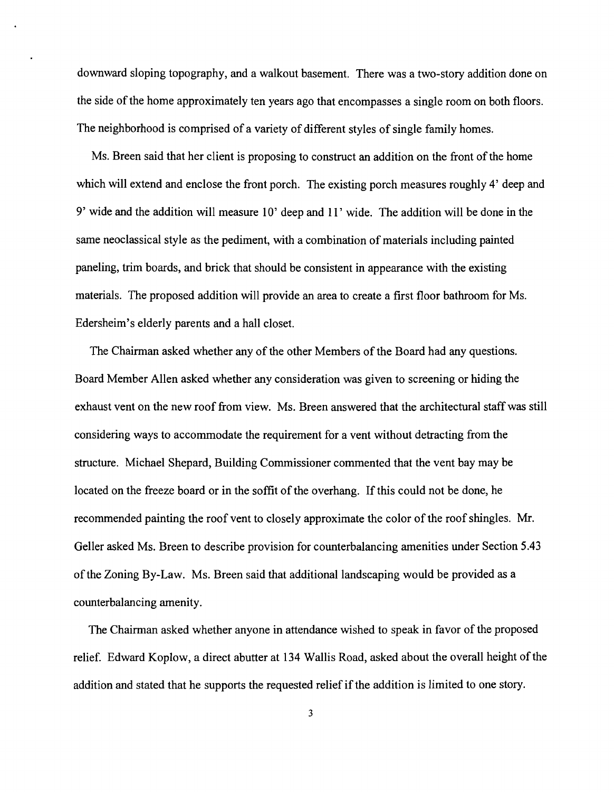downward sloping topography, and a walkout basement. There was a two-story addition done on the side of the home approximately ten years ago that encompasses a single room on both floors. The neighborhood is comprised of a variety of different styles of single family homes.

Ms. Breen said that her client is proposing to construct an addition on the front of the home which will extend and enclose the front porch. The existing porch measures roughly 4' deep and 9' wide and the addition will measure 10' deep and **11'** wide. The addition will be done in the same neoclassical style as the pediment, with a combination of materials including painted paneling, trim boards, and brick that should be consistent in appearance with the existing materials. The proposed addition will provide an area to create a first floor bathroom for Ms. Edersheim's elderly parents and a hall closet.

The Chairman asked whether any of the other Members of the Board had any questions. Board Member Allen asked whether any consideration was given to screening or hiding the exhaust vent on the new roof from view. Ms. Breen answered that the architectural staff was still considering ways to accommodate the requirement for a vent without detracting from the structure. Michael Shepard, Building Commissioner commented that the vent bay may be located on the freeze board or in the soffit of the overhang. If this could not be done, he recommended painting the roof vent to closely approximate the color of the roof shingles. Mr. Geller asked Ms. Breen to describe provision for counterbalancing amenities under Section 5.43 ofthe Zoning By-Law. Ms. Breen said that additional landscaping would be provided as a counterbalancing amenity.

The Chairman asked whether anyone in attendance wished to speak in favor of the proposed relief. Edward Koplow, a direct abutter at 134 Wallis Road, asked about the overall height of the addition and stated that he supports the requested relief if the addition is limited to one story.

3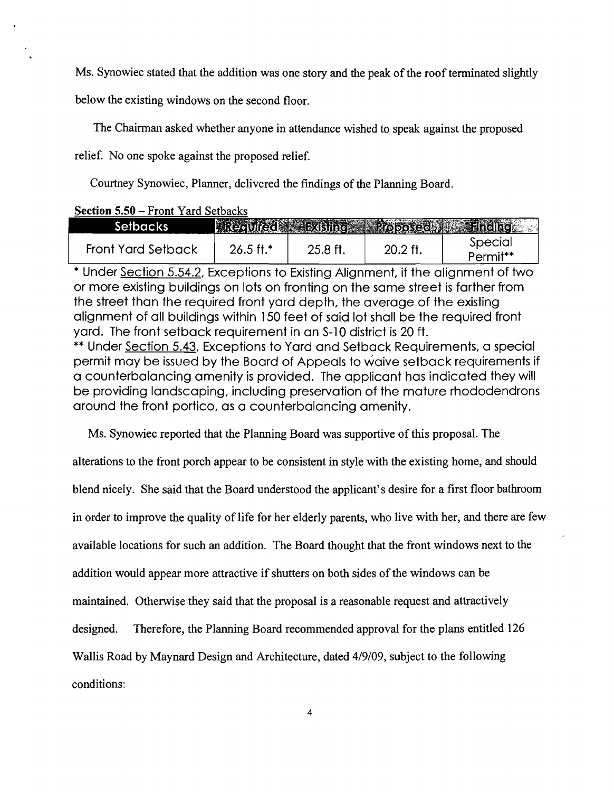Ms. Synowiec stated that the addition was one story and the peak of the roof terminated slightly

below the existing windows on the second floor.

The Chairman asked whether anyone in attendance wished to speak against the proposed

relief. No one spoke against the proposed relief.

Courtney Synowiec, Planner, delivered the findings of the Planning Board.

|  |  | <b>Section 5.50 – Front Yard Setbacks</b> |
|--|--|-------------------------------------------|
|  |  |                                           |

| Seibacks I         |                      |         |         | Regulied Existing Proposed Finding |
|--------------------|----------------------|---------|---------|------------------------------------|
| Front Yard Setback | $26.5 \text{ ft}$ .* | 25.8 ft | 20.2 ft | Special                            |
|                    |                      |         |         | Permit**                           |

\* Under Section 5.54.2, Exceptions to Existing Alignment, if the alignment of two or more existing buildings on lots on fronting on the same street is farther from the street than the required front yard depth, the average of the existing alignment of all buildings within 150 feet of said lot shall be the required 'front yard. The front setback requirement in an S-10 district is 20 ft.

\*\* Under Section 5.43, Exceptions to Yard and Setback Requirements, a special permit may be issued by the Board of Appeals to waive setback requirements if a counterbalancing amenity is provided. The applicant has indicated they will be providing landscaping, including preservation of the mature rhododendrons around the front portico, as a counterbalancing amenity.

Ms. Synowiec reported that the Planning Board was supportive of this proposal. The

alterations to the front porch appear to be consistent in style with the existing home, and should blend nicely. She said that the Board understood the applicant's desire for a first floor bathroom in order to improve the quality of life for her elderly parents, who live with her, and there are few available locations for such an addition. The Board thought that the front windows next to the addition would appear more attractive if shutters on both sides of the windows can be maintained. Otherwise they said that the proposal is a reasonable request and attractively designed. Therefore, the Planning Board recommended approval for the plans entitled 126 Wallis Road by Maynard Design and Architecture, dated 4/9/09, subject to the following conditions: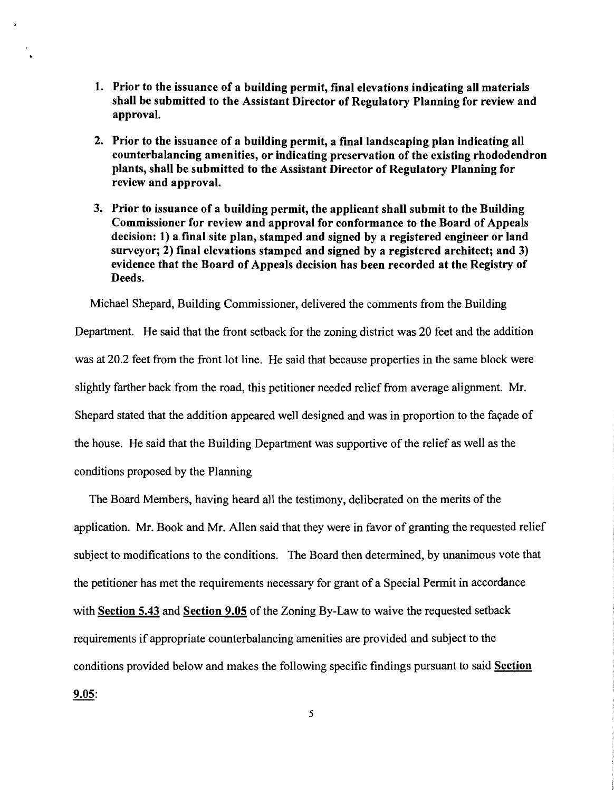- 1. Prior to the issuance of a building permit, final elevations indicating all materials shall be submitted to the Assistant Director of Regulatory Planning for review and approval.
- 2. Prior to the issuance of a building permit, a final landscaping plan indicating all counterbalancing amenities, or indicating preservation of the existing rhododendron plants, shall be submitted to the Assistant Director of Regulatory Planning for review and approval.
- 3. Prior to issuance of a building permit, the applicant shall submit to the Building Commissioner for review and approval for conformance to the Board of Appeals decision: 1) a final site plan, stamped and signed by a registered engineer or land surveyor; 2) final elevations stamped and signed by a registered architect; and 3) evidence that the Board of Appeals decision has been recorded at the Registry of Deeds.

Michael Shepard, Building Commissioner, delivered the comments from the Building Department. He said that the front setback for the zoning district was 20 feet and the addition was at 20.2 feet from the front lot line. He said that because properties in the same block were slightly farther back from the road, this petitioner needed relief from average alignment. Mr. Shepard stated that the addition appeared well designed and was in proportion to the façade of the house. He said that the Building Department was supportive of the relief as well as the conditions proposed by the Planning

The Board Members, having heard all the testimony, deliberated on the merits of the application. Mr. Book and Mr. Allen said that they were in favor of granting the requested relief subject to modifications to the conditions. The Board then determined, by unanimous vote that the petitioner has met the requirements necessary for grant of a Special Permit in accordance with Section 5.43 and Section 9.05 of the Zoning By-Law to waive the requested setback requirements if appropriate counterbalancing amenities are provided and subject to the conditions provided below and makes the following specific findings pursuant to said Section 9.05:

5